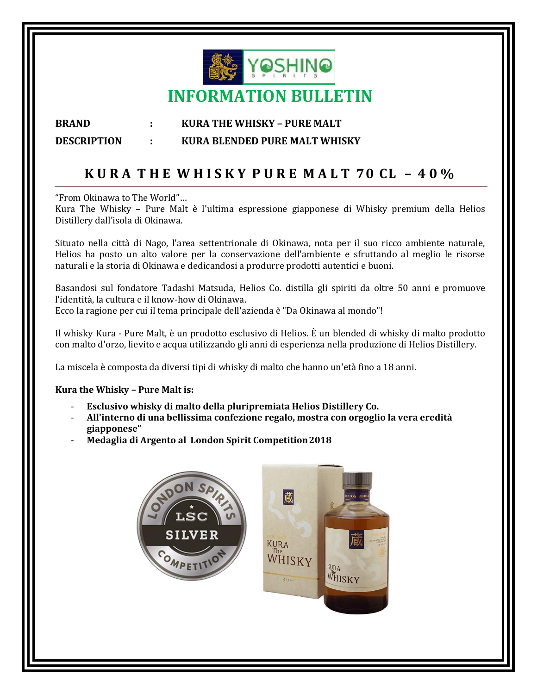

### **BRAND : KURA THE WHISKY – PURE MALT DESCRIPTION : KURA BLENDED PURE MALT WHISKY**

## **K U R A T H E W H I S K Y P U R E M A L T 70 CL – 4 0 %**

"From Okinawa to The World"…

Kura The Whisky – Pure Malt è l'ultima espressione giapponese di Whisky premium della Helios Distillery dall'isola di Okinawa.

Situato nella città di Nago, l'area settentrionale di Okinawa, nota per il suo ricco ambiente naturale, Helios ha posto un alto valore per la conservazione dell'ambiente e sfruttando al meglio le risorse naturali e la storia di Okinawa e dedicandosi a produrre prodotti autentici e buoni.

Basandosi sul fondatore Tadashi Matsuda, Helios Co. distilla gli spiriti da oltre 50 anni e promuove l'identità, la cultura e il know-how di Okinawa. Ecco la ragione per cui il tema principale dell'azienda è "Da Okinawa al mondo"!

Il whisky Kura - Pure Malt, è un prodotto esclusivo di Helios. È un blended di whisky di malto prodotto con malto d'orzo, lievito e acqua utilizzando gli anni di esperienza nella produzione di Helios Distillery.

La miscela è composta da diversi tipi di whisky di malto che hanno un'età fino a 18 anni.

### **Kura the Whisky – Pure Malt is:**

- **Esclusivo whisky di malto della pluripremiata Helios Distillery Co.**
- **All'interno di una bellissima confezione regalo, mostra con orgoglio la vera eredità giapponese"**
- **Medaglia di Argento al London Spirit Competition2018**

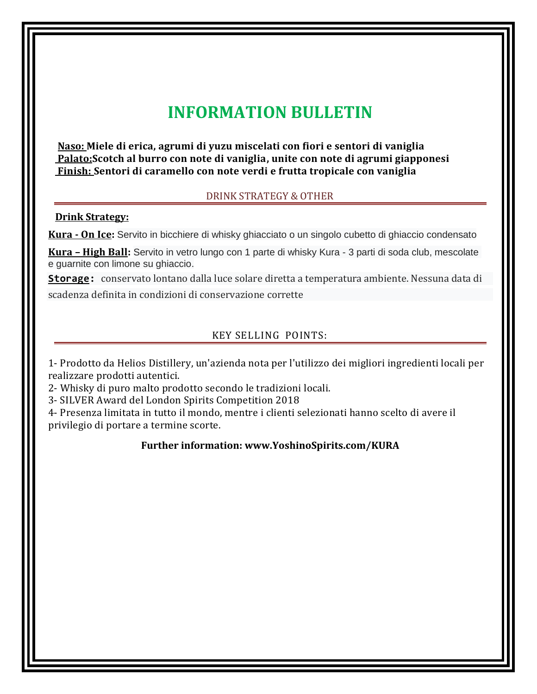# **INFORMATION BULLETIN**

**Naso: Miele di erica, agrumi di yuzu miscelati con fiori e sentori di vaniglia Palato:Scotch al burro con note di vaniglia, unite con note di agrumi giapponesi Finish: Sentori di caramello con note verdi e frutta tropicale con vaniglia**

### DRINK STRATEGY & OTHER

### **Drink Strategy:**

**Kura - On Ice:** Servito in bicchiere di whisky ghiacciato o un singolo cubetto di ghiaccio condensato

**Kura – High Ball:** Servito in vetro lungo con 1 parte di whisky Kura - 3 parti di soda club, mescolate e guarnite con limone su ghiaccio.

**Storage:** conservato lontano dalla luce solare diretta a temperatura ambiente. Nessuna data di

scadenza definita in condizioni di conservazione corrette

### KEY SELLING POINTS:

1- Prodotto da Helios Distillery, un'azienda nota per l'utilizzo dei migliori ingredienti locali per realizzare prodotti autentici.

2- Whisky di puro malto prodotto secondo le tradizioni locali.

3- SILVER Award del London Spirits Competition 2018

4- Presenza limitata in tutto il mondo, mentre i clienti selezionati hanno scelto di avere il privilegio di portare a termine scorte.

### **Further information: [www.YoshinoSpirits.com/KURA](http://www.yoshinospirits.com/KURA)**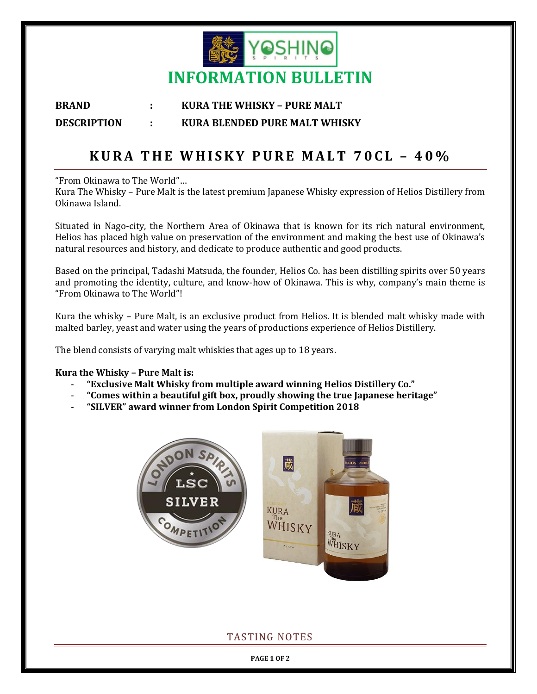

### **BRAND : KURA THE WHISKY – PURE MALT DESCRIPTION : KURA BLENDED PURE MALT WHISKY**

### **K U R A T H E W H I S K Y P U R E M A L T 7 0 C L – 4 0%**

"From Okinawa to The World"…

Kura The Whisky – Pure Malt is the latest premium Japanese Whisky expression of Helios Distillery from Okinawa Island.

Situated in Nago-city, the Northern Area of Okinawa that is known for its rich natural environment, Helios has placed high value on preservation of the environment and making the best use of Okinawa's natural resources and history, and dedicate to produce authentic and good products.

Based on the principal, Tadashi Matsuda, the founder, Helios Co. has been distilling spirits over 50 years and promoting the identity, culture, and know-how of Okinawa. This is why, company's main theme is "From Okinawa to The World"!

Kura the whisky – Pure Malt, is an exclusive product from Helios. It is blended malt whisky made with malted barley, yeast and water using the years of productions experience of Helios Distillery.

The blend consists of varying malt whiskies that ages up to 18 years.

### **Kura the Whisky – Pure Malt is:**

- **"Exclusive Malt Whisky from multiple award winning Helios Distillery Co."**
- **"Comes within a beautiful gift box, proudly showing the true Japanese heritage"**
- **"SILVER" award winner from London Spirit Competition 2018**



### TASTING NOTES

**PAGE 1 OF 2**